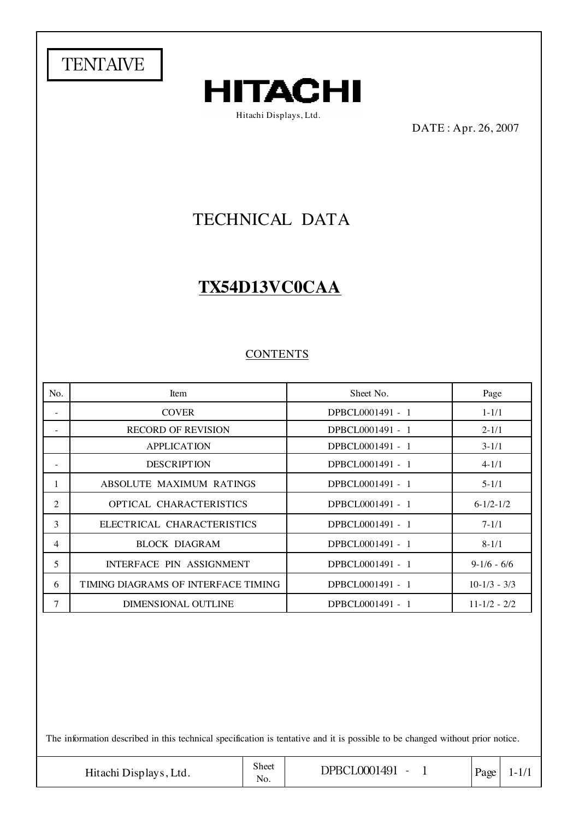



Hitachi Displays, Ltd.

DATE : Apr. 26, 2007

# TECHNICAL DATA

# **TX54D13VC0CAA**

#### **CONTENTS**

| No.                      | Item                                | Sheet No.        | Page             |
|--------------------------|-------------------------------------|------------------|------------------|
| $\overline{\phantom{0}}$ | <b>COVER</b>                        | DPBCL0001491 - 1 | $1 - 1/1$        |
|                          | <b>RECORD OF REVISION</b>           | DPBCL0001491 - 1 | $2 - 1/1$        |
|                          | <b>APPLICATION</b>                  | DPBCL0001491 - 1 | $3-1/1$          |
|                          | <b>DESCRIPTION</b>                  | DPBCL0001491 - 1 | $4 - 1/1$        |
|                          | ABSOLUTE MAXIMUM RATINGS            | DPBCL0001491 - 1 | $5 - 1/1$        |
| 2                        | OPTICAL CHARACTERISTICS             | DPBCL0001491 - 1 | $6-1/2-1/2$      |
| 3                        | ELECTRICAL CHARACTERISTICS          | DPBCL0001491 - 1 | $7 - 1/1$        |
| 4                        | <b>BLOCK DIAGRAM</b>                | DPBCL0001491 - 1 | $8 - 1/1$        |
| 5                        | INTERFACE PIN ASSIGNMENT            | DPBCL0001491 - 1 | $9-1/6 - 6/6$    |
| 6                        | TIMING DIAGRAMS OF INTERFACE TIMING | DPBCL0001491 - 1 | $10-1/3 - 3/3$   |
| 7                        | DIMENSIONAL OUTLINE                 | DPBCL0001491 - 1 | $11 - 1/2 - 2/2$ |

The information described in this technical specification is tentative and it is possible to be changed without prior notice.

Hitachi Displays, Ltd.  $\begin{array}{|c|c|c|c|c|c|c|c|} \hline \text{Noc} & \text{DPBCLO001491 - 1} & \text{Page} & 1-1/1 \\ \hline \end{array}$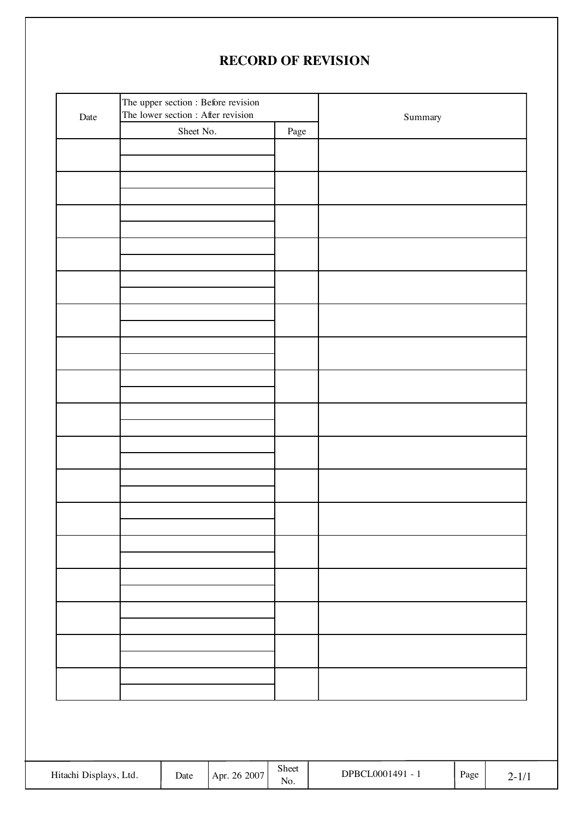# **RECORD OF REVISION**

|                        | The upper section : Before revision<br>The lower section : After revision<br>Date |           |              | Summary            |                  |      |           |
|------------------------|-----------------------------------------------------------------------------------|-----------|--------------|--------------------|------------------|------|-----------|
|                        |                                                                                   | Sheet No. |              | Page               |                  |      |           |
|                        |                                                                                   |           |              |                    |                  |      |           |
|                        |                                                                                   |           |              |                    |                  |      |           |
|                        |                                                                                   |           |              |                    |                  |      |           |
|                        |                                                                                   |           |              |                    |                  |      |           |
|                        |                                                                                   |           |              |                    |                  |      |           |
|                        |                                                                                   |           |              |                    |                  |      |           |
|                        |                                                                                   |           |              |                    |                  |      |           |
|                        |                                                                                   |           |              |                    |                  |      |           |
|                        |                                                                                   |           |              |                    |                  |      |           |
|                        |                                                                                   |           |              |                    |                  |      |           |
|                        |                                                                                   |           |              |                    |                  |      |           |
|                        |                                                                                   |           |              |                    |                  |      |           |
|                        |                                                                                   |           |              |                    |                  |      |           |
|                        |                                                                                   |           |              |                    |                  |      |           |
|                        |                                                                                   |           |              |                    |                  |      |           |
|                        |                                                                                   |           |              |                    |                  |      |           |
|                        |                                                                                   |           |              |                    |                  |      |           |
|                        |                                                                                   |           |              |                    |                  |      |           |
|                        |                                                                                   |           |              |                    |                  |      |           |
|                        |                                                                                   |           |              |                    |                  |      |           |
|                        |                                                                                   |           |              |                    |                  |      |           |
|                        |                                                                                   |           |              |                    |                  |      |           |
|                        |                                                                                   |           |              |                    |                  |      |           |
|                        |                                                                                   |           |              |                    |                  |      |           |
|                        |                                                                                   |           |              |                    |                  |      |           |
|                        |                                                                                   |           |              |                    |                  |      |           |
|                        |                                                                                   |           |              |                    |                  |      |           |
|                        |                                                                                   |           |              |                    |                  |      |           |
|                        |                                                                                   |           |              |                    |                  |      |           |
|                        |                                                                                   |           |              |                    |                  |      |           |
|                        |                                                                                   |           |              |                    |                  |      |           |
|                        |                                                                                   |           |              |                    |                  |      |           |
|                        |                                                                                   |           |              |                    |                  |      |           |
|                        |                                                                                   |           |              |                    |                  |      |           |
|                        |                                                                                   |           |              |                    |                  |      |           |
|                        |                                                                                   |           |              |                    |                  |      |           |
|                        |                                                                                   |           |              |                    |                  |      |           |
|                        |                                                                                   |           |              |                    |                  |      |           |
|                        |                                                                                   |           |              |                    |                  |      |           |
|                        |                                                                                   |           |              |                    |                  |      |           |
| Hitachi Displays, Ltd. |                                                                                   | Date      | Apr. 26 2007 | Sheet<br>$\rm No.$ | DPBCL0001491 - 1 | Page | $2 - 1/1$ |
|                        |                                                                                   |           |              |                    |                  |      |           |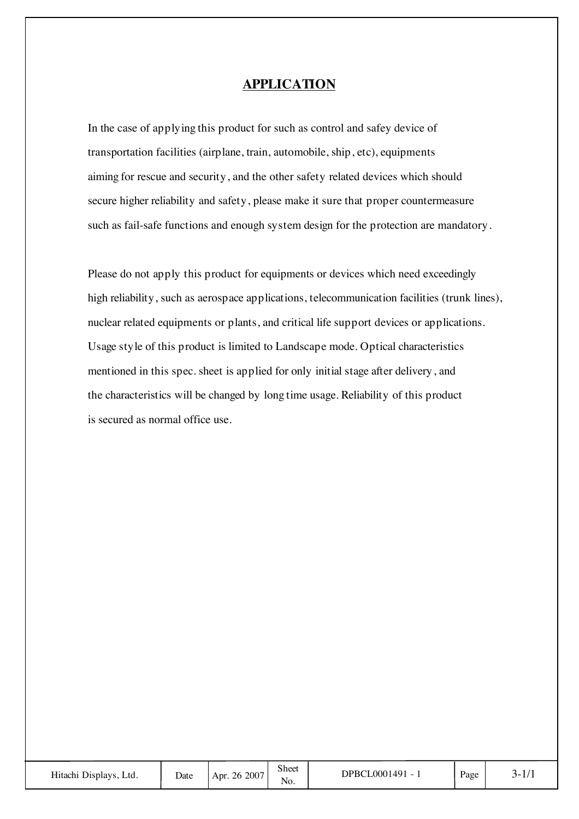#### **APPLICATION**

In the case of applying this product for such as control and safey device of transportation facilities (airplane, train, automobile, ship, etc), equipments aiming for rescue and security, and the other safety related devices which should secure higher reliability and safety, please make it sure that proper countermeasure such as fail-safe functions and enough system design for the protection are mandatory.

Please do not apply this product for equipments or devices which need exceedingly high reliability, such as aerospace applications, telecommunication facilities (trunk lines), nuclear related equipments or plants, and critical life support devices or applications. Usage style of this product is limited to Landscape mode. Optical characteristics mentioned in this spec. sheet is applied for only initial stage after delivery, and the characteristics will be changed by long time usage. Reliability of this product is secured as normal office use.

| Hitachi Displays, Ltd. | Date | Apr. 26 2007 | Sheet<br>No. | DPBCL0001491 - | Page | $1 - 1$ |
|------------------------|------|--------------|--------------|----------------|------|---------|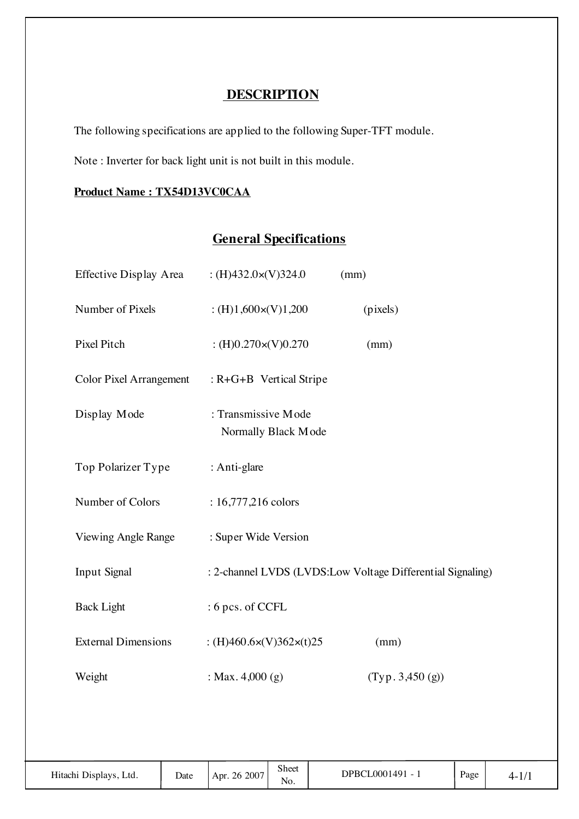# **DESCRIPTION**

The following specifications are applied to the following Super-TFT module.

Note : Inverter for back light unit is not built in this module.

#### **Product Name : TX54D13VC0CAA**

# **General Specifications**

| Effective Display Area         |      | : $(H)432.0 \times (V)324.0$               |              | (mm) |                                                            |      |           |
|--------------------------------|------|--------------------------------------------|--------------|------|------------------------------------------------------------|------|-----------|
| Number of Pixels               |      | : $(H)1,600 \times (V)1,200$               |              |      | (pixels)                                                   |      |           |
| Pixel Pitch                    |      | : $(H)0.270 \times (V)0.270$               |              |      | (mm)                                                       |      |           |
| <b>Color Pixel Arrangement</b> |      | : R+G+B Vertical Stripe                    |              |      |                                                            |      |           |
| Display Mode                   |      | : Transmissive Mode<br>Normally Black Mode |              |      |                                                            |      |           |
| Top Polarizer Type             |      | : Anti-glare                               |              |      |                                                            |      |           |
| Number of Colors               |      | : 16,777,216 colors                        |              |      |                                                            |      |           |
| Viewing Angle Range            |      | : Super Wide Version                       |              |      |                                                            |      |           |
| Input Signal                   |      |                                            |              |      | : 2-channel LVDS (LVDS:Low Voltage Differential Signaling) |      |           |
| <b>Back Light</b>              |      | : 6 pcs. of CCFL                           |              |      |                                                            |      |           |
| <b>External Dimensions</b>     |      | : (H)460.6 $\times$ (V)362 $\times$ (t)25  |              |      | (mm)                                                       |      |           |
| Weight                         |      | : Max. $4,000(g)$                          |              |      | (Typ. 3,450(g))                                            |      |           |
|                                |      |                                            |              |      |                                                            |      |           |
| Hitachi Displays, Ltd.         | Date | Apr. 26 2007                               | Sheet<br>No. |      | DPBCL0001491 - 1                                           | Page | $4 - 1/1$ |
|                                |      |                                            |              |      |                                                            |      |           |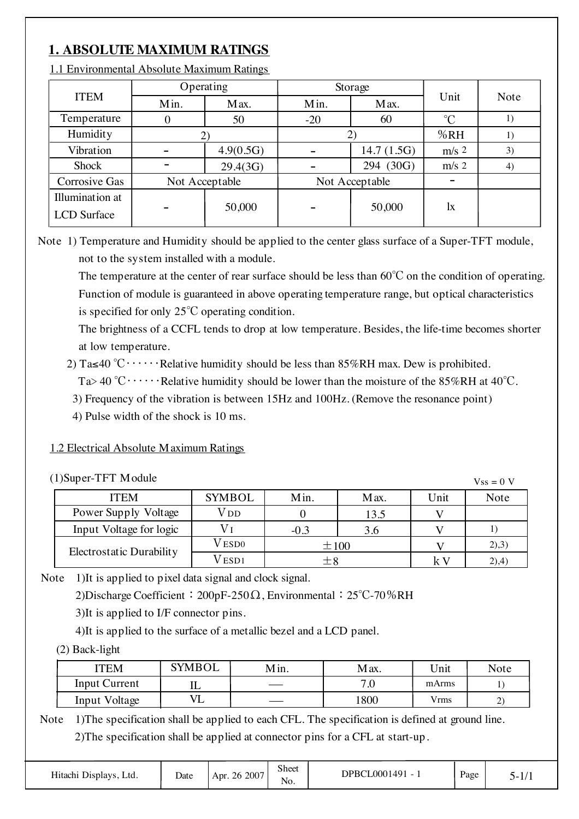# **1. ABSOLUTE MAXIMUM RATINGS**

|                                       |                | Operating |       | Storage        | Unit         | Note |
|---------------------------------------|----------------|-----------|-------|----------------|--------------|------|
| <b>ITEM</b>                           | Min.           | Max.      | Min.  | Max.           |              |      |
| Temperature                           | 0              | 50        | $-20$ | 60             | $^{\circ}C$  | 1)   |
| Humidity                              |                |           |       |                | %RH          | 1)   |
| Vibration                             |                | 4.9(0.5G) |       | 14.7(1.5G)     | $m/s$ 2      | 3)   |
| Shock                                 |                | 29.4(3G)  |       | 294 (30G)      | $m/s$ 2      | 4)   |
| Corrosive Gas                         | Not Acceptable |           |       | Not Acceptable |              |      |
| Illumination at<br><b>LCD</b> Surface |                | 50,000    |       | 50,000         | $\mathbf{I}$ |      |

1.1 Environmental Absolute Maximum Ratings

Note 1) Temperature and Humidity should be applied to the center glass surface of a Super-TFT module, not to the system installed with a module.

 The temperature at the center of rear surface should be less than 60℃ on the condition of operating. Function of module is guaranteed in above operating temperature range, but optical characteristics is specified for only 25℃ operating condition.

 The brightness of a CCFL tends to drop at low temperature. Besides, the life-time becomes shorter at low temperature.

2) Ta≤40 °C⋅⋅⋅⋅⋅⋅Relative humidity should be less than 85%RH max. Dew is prohibited.

Ta> 40 °C  $\cdots$  Relative humidity should be lower than the moisture of the 85%RH at 40°C.

3) Frequency of the vibration is between 15Hz and 100Hz. (Remove the resonance point)

4) Pulse width of the shock is 10 ms.

#### 1.2 Electrical Absolute Maximum Ratings

| (1)Super-TFT Module      |               |           |      |      | $Vss = 0 V$ |
|--------------------------|---------------|-----------|------|------|-------------|
| <b>ITEM</b>              | <b>SYMBOL</b> | Min.      | Max. | Unit | Note        |
| Power Supply Voltage     | V dd          |           | 13.5 |      |             |
| Input Voltage for logic  |               | $-0.3$    | 3.6  |      |             |
| Electrostatic Durability | V ESDO        | $\pm 100$ |      |      | (2),3)      |
|                          | V esd1        | $\pm 8$   |      | k V  | (2), 4)     |

Note 1)It is applied to pixel data signal and clock signal.

2)Discharge Coefficient:200pF-250Ω, Environmental:25℃-70%RH

3)It is applied to I/F connector pins.

4)It is applied to the surface of a metallic bezel and a LCD panel.

(2) Back-light

| <b>'TEM</b>          | <b>SYMBOL</b> | Min.   | Max.                        | Unit        | <b>Note</b> |
|----------------------|---------------|--------|-----------------------------|-------------|-------------|
| <b>Input Current</b> | ⊥⊥            | $\sim$ | $\overline{ }$ .<br>$\cdot$ | mArms       |             |
| Input Voltage        | ப             | ___    | 1800                        | <b>Vrms</b> | ∼           |

Note 1) The specification shall be applied to each CFL. The specification is defined at ground line. 2)The specification shall be applied at connector pins for a CFL at start-up.

| Hitachi Displays, Ltd. | Date | Apr. 26 2007 | Sheet<br>No. | DPBCL0001491 - 1 | Page | , . |
|------------------------|------|--------------|--------------|------------------|------|-----|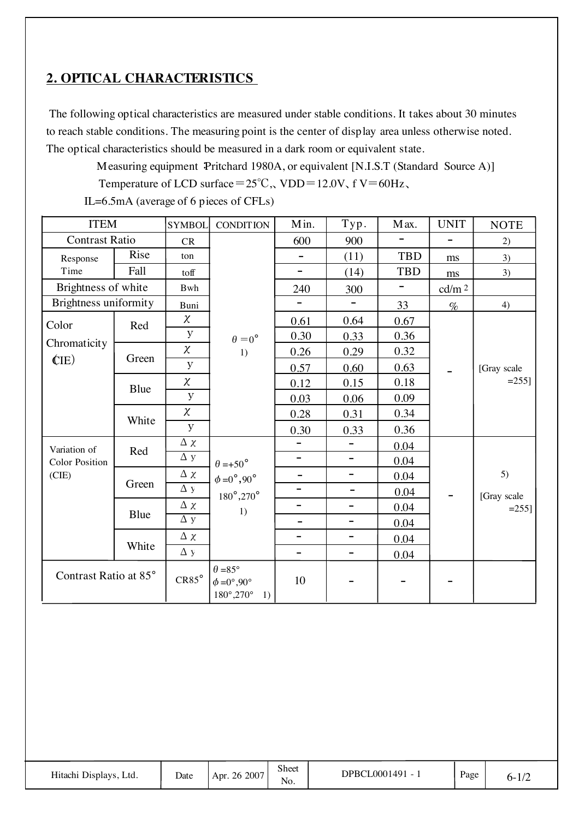## **2. OPTICAL CHARACTERISTICS**

 The following optical characteristics are measured under stable conditions. It takes about 30 minutes to reach stable conditions. The measuring point is the center of display area unless otherwise noted. The optical characteristics should be measured in a dark room or equivalent state.

Measuring equipment: Pritchard 1980A, or equivalent [N.I.S.T (Standard Source A)]

Temperature of LCD surface= $25^{\circ}$ C, VDD=12.0V, f V=60Hz,

IL=6.5mA (average of 6 pieces of CFLs)

| <b>ITEM</b>           |       | <b>SYMBOL</b>         | <b>CONDITION</b>                                                                     | Min.                     | Typ.                     | Max.                     | <b>UNIT</b>       | <b>NOTE</b>             |
|-----------------------|-------|-----------------------|--------------------------------------------------------------------------------------|--------------------------|--------------------------|--------------------------|-------------------|-------------------------|
| <b>Contrast Ratio</b> |       | CR                    |                                                                                      | 600                      | 900                      |                          | $\equiv$          | 2)                      |
| Response              | Rise  | ton                   |                                                                                      | $\overline{\phantom{0}}$ | (11)                     | <b>TBD</b>               | ms                | 3)                      |
| Time                  | Fall  | toff                  |                                                                                      | $\overline{\phantom{a}}$ | (14)                     | <b>TBD</b>               | $\rm ms$          | 3)                      |
| Brightness of white   |       | Bwh                   |                                                                                      | 240                      | 300                      | $\overline{\phantom{a}}$ | cd/m <sup>2</sup> |                         |
| Brightness uniformity |       | Buni                  |                                                                                      |                          |                          | 33                       | $\%$              | 4)                      |
| Color                 | Red   | $\chi$                |                                                                                      | 0.61                     | 0.64                     | 0.67                     |                   |                         |
| Chromaticity          |       | y                     | $\theta = 0^\circ$                                                                   | 0.30                     | 0.33                     | 0.36                     |                   |                         |
|                       | Green | $\chi$                | 1)                                                                                   | 0.26                     | 0.29                     | 0.32                     |                   |                         |
| (IE)                  |       | y                     |                                                                                      | 0.57                     | 0.60                     | 0.63                     |                   | [Gray scale<br>$=255$ ] |
|                       | Blue  | $\chi$                |                                                                                      | 0.12                     | 0.15                     | 0.18                     |                   |                         |
|                       |       | $\mathbf{y}$          |                                                                                      | 0.03                     | 0.06                     | 0.09                     |                   |                         |
|                       | White | $\chi$                |                                                                                      | 0.28                     | 0.31                     | 0.34                     |                   |                         |
|                       |       | $\mathbf{y}$          |                                                                                      | 0.30                     | 0.33                     | 0.36                     |                   |                         |
| Variation of          | Red   | $\Delta$ $\chi$       |                                                                                      | $\overline{\phantom{0}}$ | $\overline{\phantom{0}}$ | 0.04                     |                   |                         |
| <b>Color Position</b> |       | $\Delta$ y            | $\theta = +50^{\circ}$                                                               | $\overline{\phantom{0}}$ | $\qquad \qquad -$        | 0.04                     |                   |                         |
| (CIE)                 | Green | $\Delta$ $\chi$       | $\phi = 0^\circ, 90^\circ$                                                           | $\overline{\phantom{a}}$ | $\qquad \qquad -$        | 0.04                     |                   | 5)                      |
|                       |       | $\overline{\Delta}$ y | $180^\circ, 270^\circ$                                                               | $\overline{\phantom{0}}$ | $\qquad \qquad -$        | 0.04                     |                   | [Gray scale             |
|                       | Blue  | $\Delta$ $\chi$       | 1)                                                                                   | $\overline{\phantom{0}}$ | $\overline{\phantom{0}}$ | 0.04                     |                   | $=255$ ]                |
|                       |       | $\Delta y$            |                                                                                      | $\qquad \qquad -$        | $\qquad \qquad -$        | 0.04                     |                   |                         |
|                       | White | $\Delta$ $\chi$       |                                                                                      | $\overline{\phantom{0}}$ | $\overline{\phantom{a}}$ | 0.04                     |                   |                         |
|                       |       | $\Delta y$            |                                                                                      | $\overline{\phantom{0}}$ | $\overline{\phantom{a}}$ | 0.04                     |                   |                         |
| Contrast Ratio at 85° |       | $CR85^{\circ}$        | $\theta = 85^{\circ}$<br>$\phi = 0^\circ, 90^\circ$<br>$180^{\circ}, 270^{\circ}$ 1) | 10                       |                          |                          |                   |                         |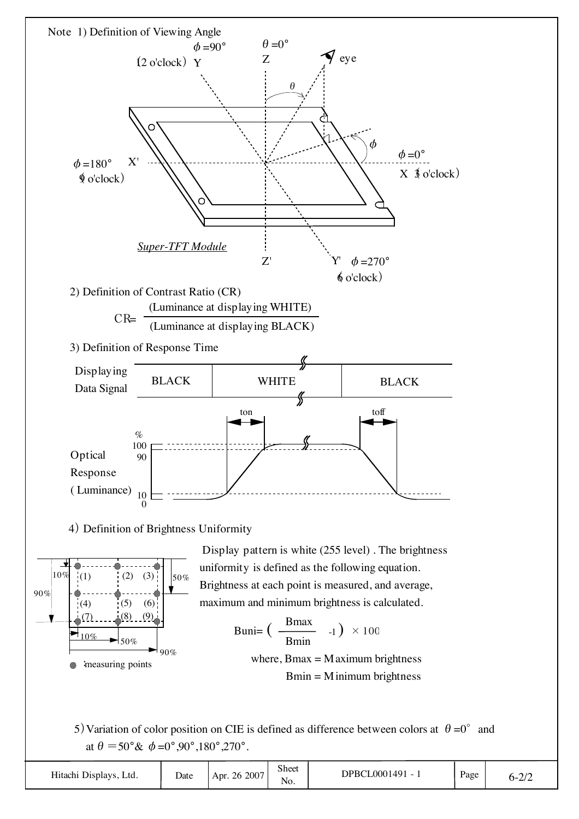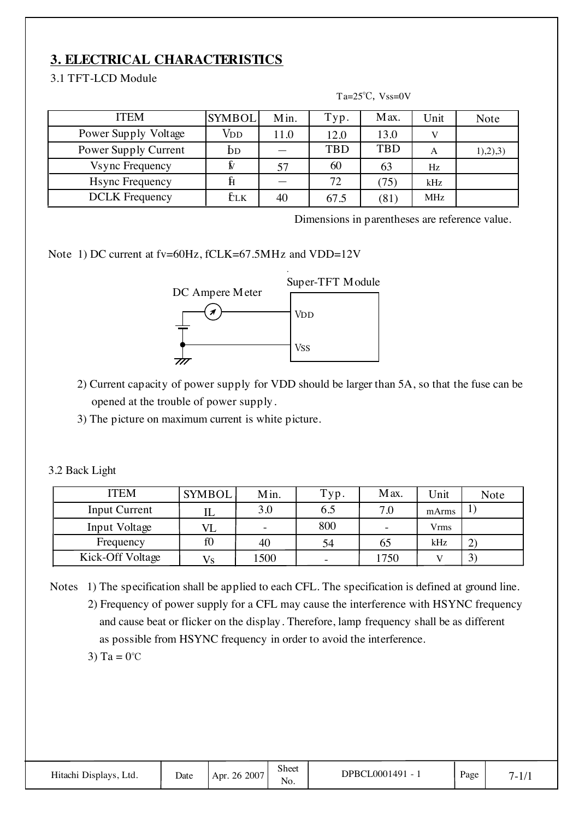# **3. ELECTRICAL CHARACTERISTICS**

#### 3.1 TFT-LCD Module

| <b>ITEM</b>             | <b>SYMBOL</b> | Min. | Typ.       | Max.       | Unit       | Note     |
|-------------------------|---------------|------|------------|------------|------------|----------|
| Power Supply Voltage    | Vdd           | 11.0 | 12.0       | 13.0       |            |          |
| Power Supply Current    | DD            |      | <b>TBD</b> | <b>TBD</b> | Α          | 1),2),3) |
| <b>Vsync Frequency</b>  |               | 57   | 60         | 63         | Hz         |          |
| <b>H</b> sync Frequency |               |      | 72         | (75)       | kHz        |          |
| <b>DCLK</b> Frequency   | tіk           | 40   | 67.5       | (81)       | <b>MHz</b> |          |

Ta= $25^{\circ}$ C, Vss=0V

Dimensions in parentheses are reference value.

Note 1) DC current at fv=60Hz, fCLK=67.5MHz and VDD=12V



2) Current capacity of power supply for VDD should be larger than 5A, so that the fuse can be opened at the trouble of power supply.

3) The picture on maximum current is white picture.

3.2 Back Light

| <b>ITEM</b>          | <b>SYMBOL</b> | Min.                     | Typ.                     | Max. | <b>Jnit</b> | Note           |
|----------------------|---------------|--------------------------|--------------------------|------|-------------|----------------|
| <b>Input Current</b> | IL            | 3.0                      | 6.5                      | 7.0  | mArms       | Τ.             |
| Input Voltage        |               | $\overline{\phantom{a}}$ | 800                      |      | Vrms        |                |
| Frequency            | f0            | 40                       | 54                       | 65   | kHz         | $\overline{2}$ |
| Kick-Off Voltage     | Vs            | 1500                     | $\overline{\phantom{a}}$ | 1750 |             | 3              |

Notes 1) The specification shall be applied to each CFL. The specification is defined at ground line. 2) Frequency of power supply for a CFL may cause the interference with HSYNC frequency and cause beat or flicker on the display. Therefore, lamp frequency shall be as different as possible from HSYNC frequency in order to avoid the interference. 3) Ta =  $0^{\circ}$ C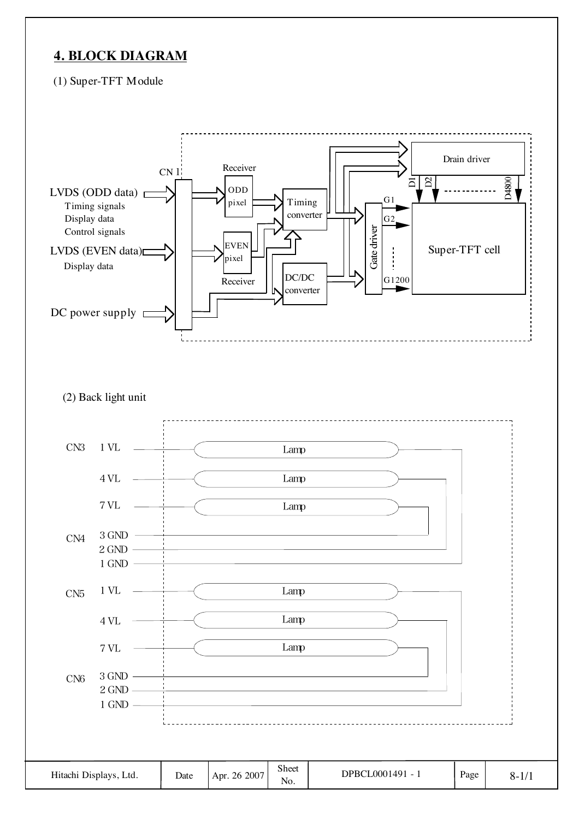## **4. BLOCK DIAGRAM**

(1) Super-TFT Module

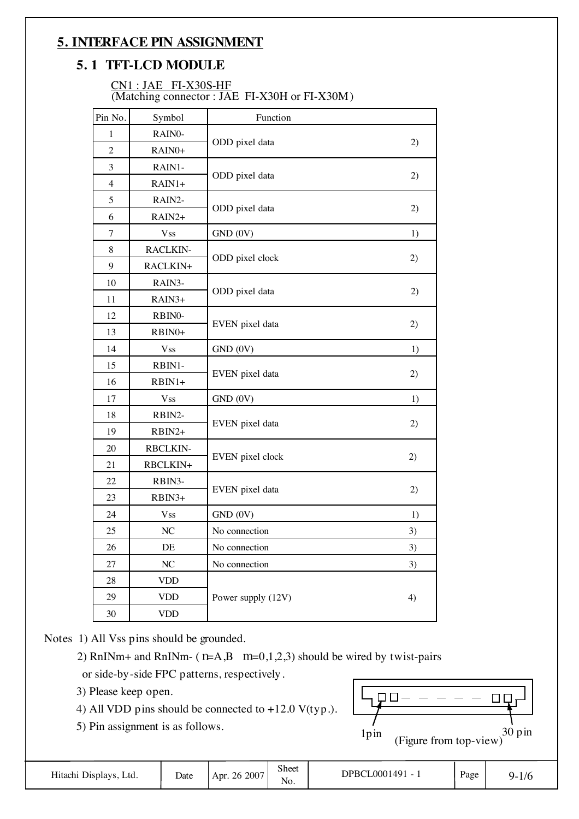## **5. INTERFACE PIN ASSIGNMENT**

### **5. 1 TFT-LCD MODULE**

#### CN1 : JAE FI-X30S-HF (Matching connector : JAE FI-X30H or FI-X30M)

| Pin No.        | Symbol             | Function           |    |
|----------------|--------------------|--------------------|----|
| 1              | RAIN0-             |                    |    |
| $\overline{2}$ | RAIN <sub>0+</sub> | ODD pixel data     | 2) |
| 3              | RAIN1-             |                    |    |
| $\overline{4}$ | RAIN1+             | ODD pixel data     | 2) |
| 5              | RAIN2-             |                    |    |
| 6              | RAIN2+             | ODD pixel data     | 2) |
| 7              | <b>Vss</b>         | GND (0V)           | 1) |
| 8              | <b>RACLKIN-</b>    |                    |    |
| 9              | RACLKIN+           | ODD pixel clock    | 2) |
| 10             | RAIN3-             |                    |    |
| 11             | RAIN3+             | ODD pixel data     | 2) |
| 12             | RBIN0-             |                    |    |
| 13             | RBIN0+             | EVEN pixel data    | 2) |
| 14             | <b>Vss</b>         | GND (0V)           | 1) |
| 15             | RBIN1-             |                    |    |
| 16             | RBIN1+             | EVEN pixel data    | 2) |
| 17             | <b>Vss</b>         | GND (0V)           | 1) |
| 18             | RBIN2-             |                    |    |
| 19             | RBIN2+             | EVEN pixel data    | 2) |
| 20             | <b>RBCLKIN-</b>    |                    |    |
| 21             | RBCLKIN+           | EVEN pixel clock   | 2) |
| 22             | RBIN3-             |                    |    |
| 23             | RBIN3+             | EVEN pixel data    | 2) |
| 24             | <b>Vss</b>         | GND (0V)           | 1) |
| 25             | NC                 | No connection      | 3) |
| 26             | DE                 | No connection      | 3) |
| 27             | NC                 | No connection      | 3) |
| 28             | <b>VDD</b>         |                    |    |
| 29             | <b>VDD</b>         | Power supply (12V) | 4) |
| $30\,$         | <b>VDD</b>         |                    |    |

Notes 1) All Vss pins should be grounded.

2) RnINm+ and RnINm- ( $n=A,B$  m=0,1,2,3) should be wired by twist-pairs or side-by-side FPC patterns, respectively.

- 3) Please keep open.
- 4) All VDD pins should be connected to  $+12.0$  V(typ.).

5) Pin assignment is as follows.

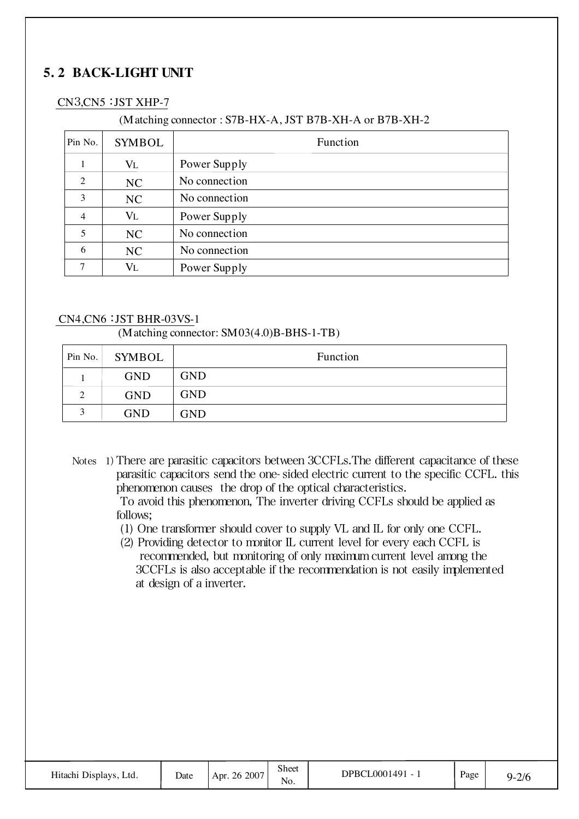# **5. 2 BACK-LIGHT UNIT**

#### CN3,CN5: JST XHP-7

#### (Matching connector : S7B-HX-A, JST B7B-XH-A or B7B-XH-2

| Pin No.        | <b>SYMBOL</b> | Function      |
|----------------|---------------|---------------|
|                | $V_{L}$       | Power Supply  |
| 2              | NC            | No connection |
| 3              | NC            | No connection |
| $\overline{4}$ | VL            | Power Supply  |
| 5              | NC            | No connection |
| 6              | NC            | No connection |
| ⇁              | Vl            | Power Supply  |

#### CN4,CN6: JST BHR-03VS-1

#### (Matching connector: SM03(4.0)B-BHS-1-TB)

| Pin No. | <b>SYMBOL</b> | Function   |
|---------|---------------|------------|
|         | <b>GND</b>    | <b>GND</b> |
| ◠<br>∠  | <b>GND</b>    | <b>GND</b> |
|         | <b>GND</b>    | GND        |

Notes 1) There are parasitic capacitors between 3CCFLs. The different capacitance of these parasitic capacitors send the one- sided electric current to the specific CCFL. this phenomenon causes the drop of the optical characteristics.

 To avoid this phenomenon, The inverter driving CCFLs should be applied as follows;

- (1) One transformer should cover to supply VL and IL for only one CCFL.
- (2) Providing detector to monitor IL current level for every each CCFL is recommended, but monitoring of only maximum current level among the 3CCFLs is also acceptable if the recommendation is not easily implemented at design of a inverter.

| Hitachi Displays, Ltd. | Date | . 26 2007<br>Apr. | Sheet<br>No. | <b>PBCL0001491</b><br>$\overline{\phantom{0}}$ | Page | 2/6<br>$Q_{-}$ |
|------------------------|------|-------------------|--------------|------------------------------------------------|------|----------------|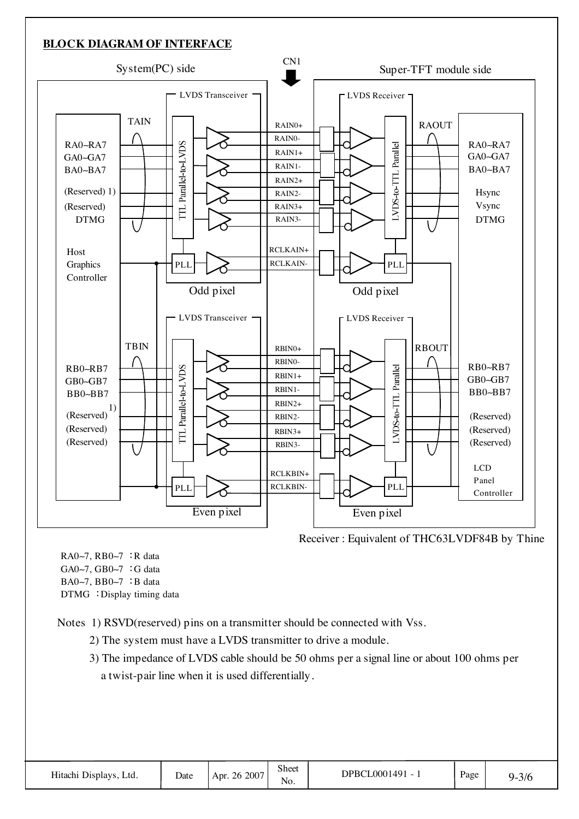#### **BLOCK DIAGRAM OF INTERFACE**



Receiver : Equivalent of THC63LVDF84B by Thine

RA0∼7, RB0∼7 : R data GA0∼7, GB0∼7 : G data BA0∼7, BB0∼7 : B data DTMG : Display timing data

Notes 1) RSVD(reserved) pins on a transmitter should be connected with Vss.

- 2) The system must have a LVDS transmitter to drive a module.
- 3) The impedance of LVDS cable should be 50 ohms per a signal line or about 100 ohms per a twist-pair line when it is used differentially.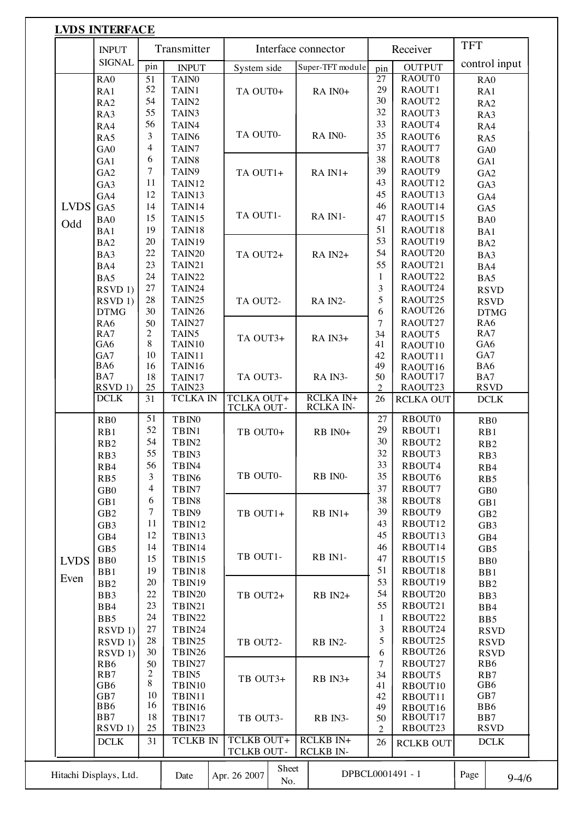|             |                     |                 |                   |                                        | Interface connector                  |                 | Receiver         |                            |
|-------------|---------------------|-----------------|-------------------|----------------------------------------|--------------------------------------|-----------------|------------------|----------------------------|
|             | <b>SIGNAL</b>       | pin             | <b>INPUT</b>      | System side                            | Super-TFT module                     | pin             | <b>OUTPUT</b>    | control input              |
|             | RA <sub>0</sub>     | $\overline{51}$ | TAIN <sub>0</sub> |                                        |                                      | $\overline{27}$ | RAOUT0           | RA <sub>0</sub>            |
|             | RA1                 | 52              | TAIN1             | TA OUT0+                               | RA IN <sub>0</sub> +                 | 29              | RAOUT1           | RA1                        |
|             | RA <sub>2</sub>     | 54              | TAIN <sub>2</sub> |                                        |                                      | 30              | RAOUT2           | RA <sub>2</sub>            |
|             | RA3                 | 55              | TAIN3             |                                        |                                      | 32              | RAOUT3           | RA3                        |
|             | RA4                 | 56              | TAIN4             |                                        |                                      | 33              | RAOUT4           | RA4                        |
|             | RA5                 | $\mathfrak{Z}$  | TAIN <sub>6</sub> | TA OUT0-                               | RA INO-                              | 35              | RAOUT6           | RA5                        |
|             | GA <sub>0</sub>     | $\overline{4}$  | TAIN7             |                                        |                                      | 37              | RAOUT7           | GA0                        |
|             | GA1                 | 6               | TAIN8             |                                        |                                      | 38              | RAOUT8           | GA1                        |
|             | GA <sub>2</sub>     | $\tau$          | TAIN9             | TA OUT1+                               | $RA IN1+$                            | 39              | RAOUT9           | GA <sub>2</sub>            |
|             | GA3                 | 11              | TAIN12            |                                        |                                      | 43              | RAOUT12          | GA3                        |
|             | GA4                 | 12              | TAIN13            |                                        |                                      | 45              | RAOUT13          | GA4                        |
| <b>LVDS</b> | GA5                 | 14              | TAIN14            |                                        |                                      | 46              | RAOUT14          | GA5                        |
| Odd         | BA0                 | 15              | TAIN15            | TA OUT1-                               | RA IN1-                              | 47              | RAOUT15          | BA <sub>0</sub>            |
|             | BA1                 | 19              | TAIN18            |                                        |                                      | 51              | RAOUT18          | BA1                        |
|             | BA <sub>2</sub>     | 20              | TAIN19            |                                        |                                      | 53              | RAOUT19          | BA <sub>2</sub>            |
|             | BA3                 | 22              | TAIN20            | TA OUT2+                               | RA IN2+                              | 54              | RAOUT20          | BA3                        |
|             | BA4                 | 23              | TAIN21            |                                        |                                      | 55              | RAOUT21          | BA4                        |
|             | BA5                 | 24              | TAIN22            |                                        |                                      | $\mathbf{1}$    | RAOUT22          | BA5                        |
|             | RSVD <sub>1</sub> ) | 27              | TAIN24            |                                        |                                      | 3               | RAOUT24          | <b>RSVD</b>                |
|             | RSVD <sub>1</sub> ) | 28              | TAIN25            | TA OUT2-                               | RA IN2-                              | 5               | RAOUT25          | <b>RSVD</b>                |
|             | <b>DTMG</b>         | 30              | TAIN26            |                                        |                                      | 6               | RAOUT26          | <b>DTMG</b>                |
|             | RA6                 | 50              | TAIN27            |                                        |                                      | $\overline{7}$  | RAOUT27          | RA6                        |
|             | RA7                 | 2               | TAIN <sub>5</sub> | TA OUT3+                               | RA IN3+                              | 34              | RAOUT5           | RA7                        |
|             | GA6                 | 8               | TAIN10            |                                        |                                      | 41              | RAOUT10          | GA6                        |
|             | GA7                 | 10              | TAIN11            |                                        |                                      | 42              | RAOUT11          | GA7                        |
|             | BA6                 | 16              | TAIN16            |                                        |                                      | 49              | RAOUT16          | BA6                        |
|             | BA7                 | 18              | TAIN17            | TA OUT3-                               | RA IN3-                              | 50              | RAOUT17          | BA7                        |
|             | RSVD <sub>1</sub> ) | 25              | TAIN23            |                                        |                                      | $\mathfrak{D}$  | RAOUT23          | <b>RSVD</b>                |
|             | <b>DCLK</b>         | 31              | <b>TCLKA IN</b>   | <b>TCLKA OUT+</b><br>TCLKA OUT-        | <b>RCLKA IN+</b><br><b>RCLKA IN-</b> | 26              | <b>RCLKA OUT</b> | DCLK                       |
|             | R <sub>B</sub> 0    | 51              | TBIN0             |                                        |                                      | 27              | <b>RBOUT0</b>    | R <sub>B</sub> 0           |
|             | RB1                 | 52              | TBIN1             | TB OUT0+                               | RB IN0+                              | 29              | RBOUT1           | RB1                        |
|             | RB <sub>2</sub>     | 54              | TBIN2             |                                        |                                      | 30              | RBOUT2           | R <sub>B</sub> 2           |
|             | RB3                 | 55              | TBIN3             |                                        |                                      | 32              | RBOUT3           | RB3                        |
|             | R <sub>B4</sub>     | 56              | TBIN4             |                                        |                                      | 33              | RBOUT4           | R <sub>B</sub> 4           |
|             | RB5                 | 3               | TBIN <sub>6</sub> | TB OUT0-                               | RB IN0-                              | 35              | RBOUT6           | RB5                        |
|             | GB0                 | 4               | TBIN7             |                                        |                                      | 37              | RBOUT7           | $\rm GB0$                  |
|             | GB1                 | 6               | TBIN8             |                                        |                                      | 38              | RBOUT8           | GB1                        |
|             | GB <sub>2</sub>     | $\tau$          | TBIN9             | TB OUT1+                               | RB IN1+                              | 39              | RBOUT9           | GB <sub>2</sub>            |
|             | GB <sub>3</sub>     | 11              | TBIN12            |                                        |                                      | 43              | RBOUT12          | GB3                        |
|             | GB4                 | 12              | TBIN13            |                                        |                                      | 45              | RBOUT13          | GB4                        |
|             | GB5                 | 14              | TBIN14            |                                        |                                      | 46              | RBOUT14          | GB5                        |
| <b>LVDS</b> | B <sub>B0</sub>     | 15              | TBIN15            | TB OUT1-                               | RB IN1-                              | 47              | RBOUT15          | B <sub>B</sub> 0           |
|             | BB1                 | 19              | TBIN18            |                                        |                                      | 51              | RBOUT18          | BB1                        |
| Even        | BB <sub>2</sub>     | 20              | TBIN19            |                                        |                                      | 53              | RBOUT19          | B <sub>B2</sub>            |
|             | BB3                 | 22              | TBIN20            | TB OUT2+                               | RB IN2+                              | 54              | RBOUT20          | BB3                        |
|             | BB4                 | 23              | TBIN21            |                                        |                                      | 55              | RBOUT21          | B <sub>B4</sub>            |
|             | BB5                 | 24              | TBIN22            |                                        |                                      | $\mathbf{1}$    | RBOUT22          | BB5                        |
|             | RSVD <sub>1</sub> ) | 27              | TBIN24            |                                        |                                      | 3               | RBOUT24          | <b>RSVD</b>                |
|             | RSVD <sub>1</sub> ) | 28              | TBIN25            | TB OUT2-                               | RB IN2-                              | 5               | RBOUT25          |                            |
|             | RSVD <sub>1</sub> ) | 30              | TBIN26            |                                        |                                      | 6               | RBOUT26          | <b>RSVD</b><br><b>RSVD</b> |
|             | RB6                 | 50              | TBIN27            |                                        |                                      | $\overline{7}$  | RBOUT27          | RB <sub>6</sub>            |
|             | RB7                 | $\overline{c}$  | TBIN5             |                                        |                                      | 34              | RBOUT5           | RB7                        |
|             | GB6                 | 8               | TBIN10            | TB OUT3+                               | RB IN3+                              | 41              | RBOUT10          | GB6                        |
|             | GB7                 | 10              | TBIN11            |                                        |                                      | 42              | RBOUT11          | GB7                        |
|             | BB6                 | 16              | TBIN16            |                                        |                                      | 49              | RBOUT16          | BB6                        |
|             | BB7                 | 18              | TBIN17            | TB OUT3-                               | RB IN3-                              | 50              | RBOUT17          | BB7                        |
|             | RSVD 1)             | 25              | TBIN23            |                                        |                                      | $\mathbf{2}$    | RBOUT23          | <b>RSVD</b>                |
|             | $DCLK$              | 31              | <b>TCLKB IN</b>   | <b>TCLKB OUT+</b><br><b>TCLKB OUT-</b> | <b>RCLKB IN+</b><br><b>RCLKB IN-</b> | 26              | <b>RCLKB OUT</b> | DCLK                       |
|             |                     |                 |                   |                                        |                                      |                 |                  |                            |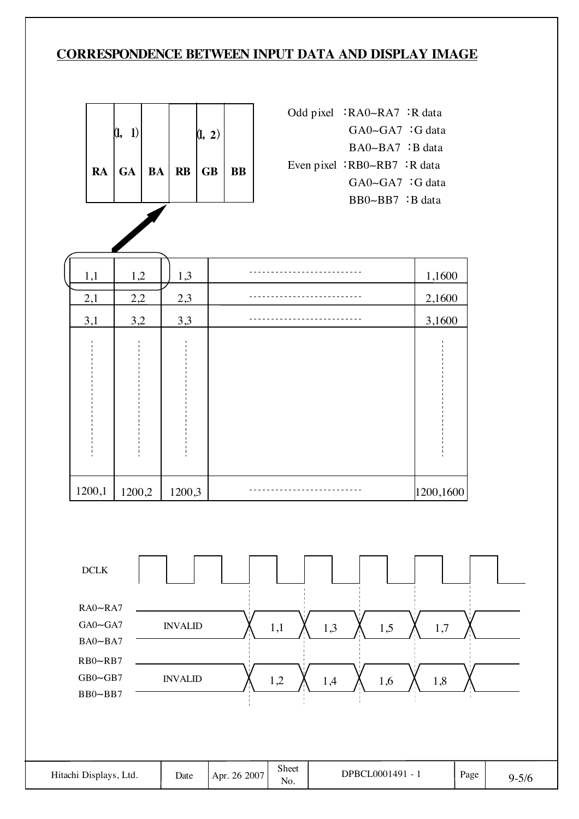### **CORRESPONDENCE BETWEEN INPUT DATA AND DISPLAY IMAGE**

| (1, 1) |  | (1, 2)                        |  |
|--------|--|-------------------------------|--|
|        |  | $RA$ $GA$ $BA$ $RB$ $GB$ $BB$ |  |

| Odd pixel $:RA0-RA7 : R$ data |
|-------------------------------|
| $GA0 - GA7$ : G data          |
| BA0~BA7 :B data               |
| Even pixel $RBO-RB7$ : R data |
| $GA0 - GA7$ : G data          |
| $BB0\sim BB7$ : B data        |

| 1,1    | 1,2    | 1,3    | 1,1600    |
|--------|--------|--------|-----------|
| 2,1    | 2,2    | 2,3    | 2,1600    |
| 3,1    | 3,2    | 3,3    | 3,1600    |
|        |        |        |           |
| 1200,1 | 1200,2 | 1200,3 | 1200,1600 |

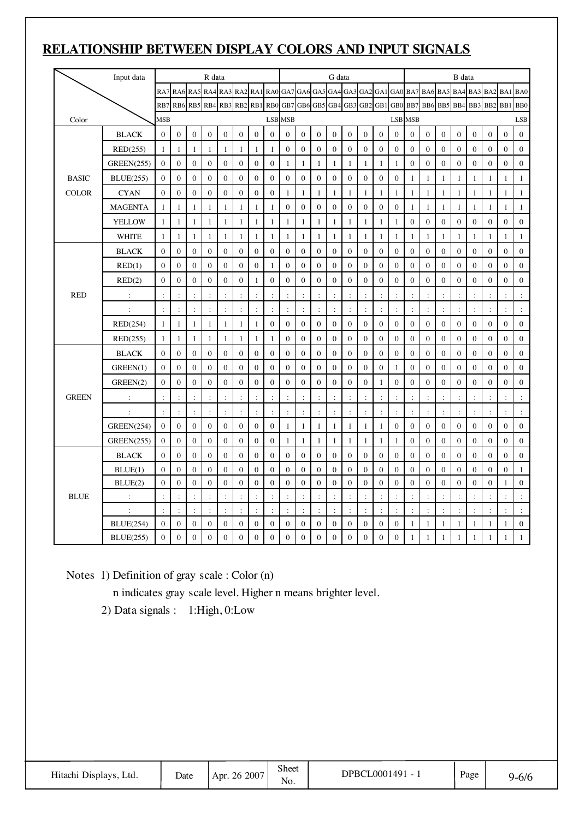## **RELATIONSHIP BETWEEN DISPLAY COLORS AND INPUT SIGNALS**

|              | Input data           |                      |                      |                                                     | R data           |                      |                      |                      |                      |                      |                  |                      | G data              |                  |                      |                  |                  |                  |                         |                  | B data           |                      |                  |                      |                  |
|--------------|----------------------|----------------------|----------------------|-----------------------------------------------------|------------------|----------------------|----------------------|----------------------|----------------------|----------------------|------------------|----------------------|---------------------|------------------|----------------------|------------------|------------------|------------------|-------------------------|------------------|------------------|----------------------|------------------|----------------------|------------------|
|              |                      |                      |                      | RA7 RA6 RA5 RA4 RA3 RA2 RA1 RA0 GA7 GA6 GA5 GA4 GA3 |                  |                      |                      |                      |                      |                      |                  |                      |                     |                  |                      |                  |                  |                  | GA2 GA1 GA0 BA7 BA6 BA5 |                  | BA4              | BA3                  | BA <sub>2</sub>  | BA1                  | BA0              |
|              |                      | R <sub>B</sub> 7     |                      | RB6 RB5 RB4 RB3 RB2 RB1                             |                  |                      |                      |                      | R <sub>B</sub> O     |                      |                  |                      | GB7 GB6 GB5 GB4 GB3 |                  | GB <sub>2</sub>      | GB1              | GB <sub>0</sub>  | BB7              | BB6                     | BB5              | BB4              | BB3                  | B <sub>B2</sub>  | BB)                  | B <sub>B</sub>   |
| Color        |                      | <b>MSB</b>           |                      |                                                     |                  |                      |                      |                      |                      | <b>LSB MSB</b>       |                  |                      |                     |                  |                      |                  |                  | <b>LSB MSB</b>   |                         |                  |                  |                      |                  |                      | LSB              |
|              | <b>BLACK</b>         | $\theta$             | $\mathbf{0}$         | $\mathbf{0}$                                        | $\mathbf{0}$     | $\mathbf{0}$         | $\mathbf{0}$         | $\mathbf{0}$         | $\mathbf{0}$         | $\mathbf{0}$         | $\mathbf{0}$     | $\mathbf{0}$         | $\mathbf{0}$        | $\mathbf{0}$     | $\mathbf{0}$         | $\mathbf{0}$     | $\mathbf{0}$     | $\mathbf{0}$     | $\mathbf{0}$            | $\mathbf{0}$     | $\mathbf{0}$     | $\mathbf{0}$         | $\mathbf{0}$     | $\mathbf{0}$         | $\mathbf{0}$     |
|              | RED(255)             | $\mathbf{1}$         | 1                    | $\mathbf{1}$                                        | 1                | $\mathbf{1}$         | 1                    | $\mathbf{1}$         | $\mathbf{1}$         | $\overline{0}$       | $\mathbf{0}$     | $\theta$             | $\overline{0}$      | $\theta$         | $\overline{0}$       | $\mathbf{0}$     | $\mathbf{0}$     | $\mathbf{0}$     | $\overline{0}$          | $\theta$         | $\theta$         | $\theta$             | $\theta$         | $\mathbf{0}$         | $\overline{0}$   |
|              | <b>GREEN(255)</b>    | $\mathbf{0}$         | $\overline{0}$       | $\boldsymbol{0}$                                    | $\boldsymbol{0}$ | $\boldsymbol{0}$     | $\mathbf{0}$         | $\mathbf{0}$         | $\mathbf{0}$         | 1                    | $\mathbf{1}$     | 1                    | 1                   | $\mathbf{1}$     | $\mathbf{1}$         | $\mathbf{1}$     | 1                | $\boldsymbol{0}$ | $\boldsymbol{0}$        | $\boldsymbol{0}$ | $\boldsymbol{0}$ | $\boldsymbol{0}$     | $\boldsymbol{0}$ | $\mathbf{0}$         | $\boldsymbol{0}$ |
| <b>BASIC</b> | <b>BLUE(255)</b>     | $\theta$             | $\overline{0}$       | $\mathbf{0}$                                        | $\mathbf{0}$     | $\mathbf{0}$         | $\mathbf{0}$         | $\mathbf{0}$         | $\mathbf{0}$         | $\mathbf{0}$         | $\theta$         | $\mathbf{0}$         | $\mathbf{0}$        | $\mathbf{0}$     | $\overline{0}$       | $\mathbf{0}$     | $\mathbf{0}$     | $\mathbf{1}$     | $\mathbf{1}$            | $\mathbf{1}$     | $\mathbf{1}$     | 1                    | $\mathbf{1}$     | $\mathbf{1}$         | $\mathbf{1}$     |
| <b>COLOR</b> | <b>CYAN</b>          | $\theta$             | $\overline{0}$       | $\mathbf{0}$                                        | $\mathbf{0}$     | $\mathbf{0}$         | $\overline{0}$       | $\mathbf{0}$         | $\mathbf{0}$         | 1                    | $\mathbf{1}$     | $\mathbf{1}$         | 1                   | $\mathbf{1}$     | $\mathbf{1}$         | $\mathbf{1}$     | 1                | $\mathbf{1}$     | $\mathbf{1}$            | $\mathbf{1}$     | $\mathbf{1}$     | 1                    | $\mathbf{1}$     | $\mathbf{1}$         | $\mathbf{1}$     |
|              | <b>MAGENTA</b>       | $\mathbf{1}$         | $\mathbf{1}$         | $\mathbf{1}$                                        | 1                | $\mathbf{1}$         | $\mathbf{1}$         | $\mathbf{1}$         | $\mathbf{1}$         | $\overline{0}$       | $\mathbf{0}$     | $\mathbf{0}$         | $\mathbf{0}$        | $\boldsymbol{0}$ | $\boldsymbol{0}$     | $\mathbf{0}$     | $\mathbf{0}$     | $\mathbf{1}$     | $\mathbf{1}$            | $\mathbf{1}$     | $\mathbf{1}$     | $\mathbf{1}$         | $\mathbf{1}$     | $\mathbf{1}$         | $\mathbf{1}$     |
|              | <b>YELLOW</b>        | $\mathbf{1}$         | $\mathbf{1}$         | $\mathbf{1}$                                        | 1                | $\mathbf{1}$         | 1                    | $\mathbf{1}$         | $\mathbf{1}$         | 1                    | $\mathbf{1}$     | 1                    | 1                   | $\mathbf{1}$     | $\mathbf{1}$         | $\mathbf{1}$     | 1                | $\boldsymbol{0}$ | $\boldsymbol{0}$        | $\boldsymbol{0}$ | $\boldsymbol{0}$ | $\boldsymbol{0}$     | $\boldsymbol{0}$ | $\boldsymbol{0}$     | $\boldsymbol{0}$ |
|              | <b>WHITE</b>         | 1                    | $\mathbf{1}$         | $\mathbf{1}$                                        | $\mathbf{1}$     | $\mathbf{1}$         | $\mathbf{1}$         | $\mathbf{1}$         | $\mathbf{1}$         | 1                    | $\mathbf{1}$     | $\mathbf{1}$         | $\mathbf{1}$        | $\mathbf{1}$     | $\mathbf{1}$         | $\mathbf{1}$     | $\mathbf{1}$     | $\mathbf{1}$     | $\mathbf{1}$            | $\mathbf{1}$     | $\mathbf{1}$     | $\mathbf{1}$         | $\mathbf{1}$     | $\mathbf{1}$         | $\mathbf{1}$     |
|              | <b>BLACK</b>         | $\theta$             | $\overline{0}$       | $\mathbf{0}$                                        | $\mathbf{0}$     | $\mathbf{0}$         | $\mathbf{0}$         | $\mathbf{0}$         | $\overline{0}$       | $\mathbf{0}$         | $\mathbf{0}$     | $\mathbf{0}$         | $\overline{0}$      | $\mathbf{0}$     | $\overline{0}$       | $\mathbf{0}$     | $\mathbf{0}$     | $\overline{0}$   | $\overline{0}$          | $\mathbf{0}$     | $\overline{0}$   | $\mathbf{0}$         | $\mathbf{0}$     | $\overline{0}$       | $\overline{0}$   |
|              | RED(1)               | $\mathbf{0}$         | $\boldsymbol{0}$     | $\boldsymbol{0}$                                    | $\mathbf{0}$     | $\boldsymbol{0}$     | $\mathbf{0}$         | $\mathbf{0}$         | $\mathbf{1}$         | $\mathbf{0}$         | $\mathbf{0}$     | $\mathbf{0}$         | $\boldsymbol{0}$    | $\boldsymbol{0}$ | $\boldsymbol{0}$     | $\boldsymbol{0}$ | $\mathbf{0}$     | $\boldsymbol{0}$ | $\mathbf{0}$            | $\boldsymbol{0}$ | $\boldsymbol{0}$ | $\overline{0}$       | $\mathbf{0}$     | $\mathbf{0}$         | $\mathbf{0}$     |
|              | RED(2)               | $\theta$             | $\overline{0}$       | $\theta$                                            | $\mathbf{0}$     | $\mathbf{0}$         | $\mathbf{0}$         | $\mathbf{1}$         | $\mathbf{0}$         | $\mathbf{0}$         | $\mathbf{0}$     | $\mathbf{0}$         | $\overline{0}$      | $\theta$         | $\overline{0}$       | $\theta$         | $\mathbf{0}$     | $\mathbf{0}$     | $\theta$                | $\mathbf{0}$     | $\mathbf{0}$     | $\theta$             | $\mathbf{0}$     | $\mathbf{0}$         | $\mathbf{0}$     |
| <b>RED</b>   | $\ddot{\cdot}$       | $\div$               | $\ddot{\phantom{a}}$ | $\ddot{\cdot}$                                      | $\ddot{\cdot}$   | $\ddot{\cdot}$       | $\ddot{\cdot}$       | $\ddot{\phantom{a}}$ | $\ddot{\phantom{a}}$ | $\ddot{\cdot}$       | $\ddot{\cdot}$   | $\ddot{\phantom{a}}$ | $\ddot{\cdot}$      | $\colon$         | $\ddot{\phantom{a}}$ | $\ddot{\cdot}$   | $\ddot{\cdot}$   | $\ddot{\cdot}$   | $\ddot{\cdot}$          | $\vdots$         | $\ddot{\cdot}$   | $\ddot{\phantom{a}}$ | $\ddot{\cdot}$   | $\ddot{\phantom{a}}$ | $\ddot{\cdot}$   |
|              | $\ddot{\cdot}$       | $\colon$             | $\ddot{\cdot}$       | $\ddot{\cdot}$                                      | $\ddot{\cdot}$   | $\ddot{\cdot}$       | $\ddot{\phantom{a}}$ | $\ddot{\phantom{a}}$ | $\ddot{\cdot}$       | $\ddot{\cdot}$       | $\ddot{\cdot}$   | $\ddot{\cdot}$       | $\ddot{\cdot}$      | :                | $\ddot{\cdot}$       | $\ddot{\cdot}$   | :                | $\ddot{\cdot}$   | $\vdots$                | :                | $\ddot{\cdot}$   | $\ddot{\cdot}$       | :                | $\ddot{\cdot}$       | $\ddot{\cdot}$   |
|              | RED(254)             | $\mathbf{1}$         | $\mathbf{1}$         | $\mathbf{1}$                                        | $\mathbf{1}$     | $\mathbf{1}$         | 1                    | $\mathbf{1}$         | $\boldsymbol{0}$     | 0                    | $\boldsymbol{0}$ | $\boldsymbol{0}$     | $\boldsymbol{0}$    | $\boldsymbol{0}$ | $\boldsymbol{0}$     | $\boldsymbol{0}$ | $\boldsymbol{0}$ | $\boldsymbol{0}$ | $\boldsymbol{0}$        | $\boldsymbol{0}$ | $\boldsymbol{0}$ | $\boldsymbol{0}$     | $\boldsymbol{0}$ | $\boldsymbol{0}$     | $\boldsymbol{0}$ |
|              | RED(255)             | $\mathbf{1}$         | 1                    | $\mathbf{1}$                                        | $\mathbf{1}$     | $\mathbf{1}$         | 1                    | $\mathbf{1}$         | $\mathbf{1}$         | $\mathbf{0}$         | $\theta$         | $\mathbf{0}$         | $\mathbf{0}$        | $\theta$         | $\overline{0}$       | $\theta$         | $\mathbf{0}$     | $\mathbf{0}$     | $\mathbf{0}$            | $\overline{0}$   | $\mathbf{0}$     | $\mathbf{0}$         | $\theta$         | $\mathbf{0}$         | $\overline{0}$   |
|              | <b>BLACK</b>         | $\Omega$             | $\mathbf{0}$         | $\mathbf{0}$                                        | $\mathbf{0}$     | $\mathbf{0}$         | $\mathbf{0}$         | $\mathbf{0}$         | $\mathbf{0}$         | $\mathbf{0}$         | $\mathbf{0}$     | $\mathbf{0}$         | $\overline{0}$      | $\mathbf{0}$     | $\mathbf{0}$         | $\overline{0}$   | $\mathbf{0}$     | $\overline{0}$   | $\overline{0}$          | $\mathbf{0}$     | $\mathbf{0}$     | $\mathbf{0}$         | $\mathbf{0}$     | $\mathbf{0}$         | $\overline{0}$   |
|              | GREEN(1)             | $\mathbf{0}$         | $\boldsymbol{0}$     | $\boldsymbol{0}$                                    | $\mathbf{0}$     | $\boldsymbol{0}$     | $\mathbf{0}$         | $\mathbf{0}$         | $\boldsymbol{0}$     | $\overline{0}$       | $\mathbf{0}$     | $\mathbf{0}$         | $\overline{0}$      | $\boldsymbol{0}$ | $\boldsymbol{0}$     | $\overline{0}$   | $\mathbf{1}$     | $\boldsymbol{0}$ | $\overline{0}$          | $\mathbf{0}$     | $\boldsymbol{0}$ | $\overline{0}$       | $\mathbf{0}$     | $\mathbf{0}$         | $\mathbf{0}$     |
|              | GREEN(2)             | $\mathbf{0}$         | $\boldsymbol{0}$     | $\mathbf{0}$                                        | $\boldsymbol{0}$ | $\boldsymbol{0}$     | $\boldsymbol{0}$     | $\boldsymbol{0}$     | $\boldsymbol{0}$     | $\mathbf{0}$         | $\boldsymbol{0}$ | $\boldsymbol{0}$     | $\boldsymbol{0}$    | $\boldsymbol{0}$ | $\boldsymbol{0}$     | $\mathbf{1}$     | $\boldsymbol{0}$ | $\boldsymbol{0}$ | $\boldsymbol{0}$        | $\boldsymbol{0}$ | $\boldsymbol{0}$ | $\overline{0}$       | $\boldsymbol{0}$ | $\boldsymbol{0}$     | $\boldsymbol{0}$ |
| <b>GREEN</b> | $\ddot{\phantom{a}}$ | $\ddot{\cdot}$       |                      | $\ddot{\cdot}$                                      | $\ddot{\cdot}$   | ÷                    |                      |                      | $\ddot{\cdot}$       |                      | ÷                |                      |                     | $\ddot{\cdot}$   | $\ddot{\cdot}$       | $\ddot{\cdot}$   |                  | $\ddot{\cdot}$   |                         |                  | $\ddot{\cdot}$   |                      | $\ddot{\cdot}$   |                      | $\ddot{\cdot}$   |
|              | $\ddot{\phantom{a}}$ | $\ddot{\cdot}$       | $\ddot{\cdot}$       | $\ddot{\cdot}$                                      | $\ddot{\cdot}$   | $\ddot{\phantom{a}}$ | $\ddot{\phantom{a}}$ | $\ddot{\cdot}$       | $\ddot{\phantom{a}}$ | $\ddot{\phantom{a}}$ | $\ddot{\cdot}$   | $\ddot{\cdot}$       | $\ddot{\cdot}$      | $\ddot{\cdot}$   | $\ddot{\cdot}$       | $\ddot{\cdot}$   | $\ddot{\cdot}$   | $\ddot{\cdot}$   | $\ddot{\phantom{a}}$    | $\vdots$         | $\ddot{\cdot}$   | $\ddot{\phantom{a}}$ | $\ddot{\cdot}$   | $\ddot{\cdot}$       | $\ddot{\cdot}$   |
|              | <b>GREEN(254)</b>    | $\mathbf{0}$         | $\overline{0}$       | $\boldsymbol{0}$                                    | $\overline{0}$   | $\mathbf{0}$         | $\mathbf{0}$         | $\mathbf{0}$         | $\boldsymbol{0}$     | 1                    | $\mathbf{1}$     | $\mathbf{1}$         | $\mathbf{1}$        | $\mathbf{1}$     | $\mathbf{1}$         | $\mathbf{1}$     | $\mathbf{0}$     | $\mathbf{0}$     | $\mathbf{0}$            | $\mathbf{0}$     | $\mathbf{0}$     | $\overline{0}$       | $\mathbf{0}$     | $\mathbf{0}$         | $\overline{0}$   |
|              | <b>GREEN(255)</b>    | $\theta$             | $\overline{0}$       | $\Omega$                                            | $\mathbf{0}$     | $\mathbf{0}$         | $\mathbf{0}$         | $\theta$             | $\mathbf{0}$         | 1                    | $\mathbf{1}$     | $\mathbf{1}$         | $\mathbf{1}$        | $\mathbf{1}$     | $\mathbf{1}$         | $\mathbf{1}$     | 1                | $\mathbf{0}$     | $\overline{0}$          | $\mathbf{0}$     | $\mathbf{0}$     | $\overline{0}$       | $\mathbf{0}$     | $\mathbf{0}$         | $\overline{0}$   |
|              | <b>BLACK</b>         | $\theta$             | $\overline{0}$       | $\mathbf{0}$                                        | $\mathbf{0}$     | $\overline{0}$       | $\mathbf{0}$         | $\mathbf{0}$         | $\mathbf{0}$         | $\mathbf{0}$         | $\mathbf{0}$     | $\mathbf{0}$         | $\mathbf{0}$        | $\mathbf{0}$     | $\overline{0}$       | $\overline{0}$   | $\mathbf{0}$     | $\overline{0}$   | $\mathbf{0}$            | $\mathbf{0}$     | $\mathbf{0}$     | $\overline{0}$       | $\mathbf{0}$     | $\mathbf{0}$         | $\overline{0}$   |
|              | BLUE(1)              | $\mathbf{0}$         | $\boldsymbol{0}$     | $\mathbf{0}$                                        | $\mathbf{0}$     | $\boldsymbol{0}$     | $\mathbf{0}$         | $\mathbf{0}$         | $\boldsymbol{0}$     | $\mathbf{0}$         | $\mathbf{0}$     | $\boldsymbol{0}$     | $\overline{0}$      | $\boldsymbol{0}$ | $\boldsymbol{0}$     | $\overline{0}$   | $\boldsymbol{0}$ | $\boldsymbol{0}$ | $\overline{0}$          | $\boldsymbol{0}$ | $\boldsymbol{0}$ | $\overline{0}$       | $\mathbf{0}$     | $\boldsymbol{0}$     | $\mathbf{1}$     |
|              | BLUE(2)              | $\Omega$             | $\mathbf{0}$         | $\mathbf{0}$                                        | $\mathbf{0}$     | $\mathbf{0}$         | $\mathbf{0}$         | $\mathbf{0}$         | $\mathbf{0}$         | $\mathbf{0}$         | $\mathbf{0}$     | $\mathbf{0}$         | $\overline{0}$      | $\mathbf{0}$     | $\mathbf{0}$         | $\mathbf{0}$     | $\mathbf{0}$     | $\mathbf{0}$     | $\overline{0}$          | $\mathbf{0}$     | $\mathbf{0}$     | $\mathbf{0}$         | $\mathbf{0}$     | 1                    | $\mathbf{0}$     |
| <b>BLUE</b>  | $\ddot{\cdot}$       | $\ddot{\cdot}$       | $\ddot{\cdot}$       | $\ddot{\cdot}$                                      | $\ddot{\cdot}$   | $\ddot{\cdot}$       |                      |                      | $\cdot$              | $\ddot{\cdot}$       | $\ddot{\cdot}$   | $\ddot{\cdot}$       | $\ddot{\cdot}$      |                  | $\ddot{\cdot}$       | $\ddot{\cdot}$   | $\ddot{\cdot}$   | $\ddot{\cdot}$   |                         |                  | $\ddot{\cdot}$   |                      | $\ddot{\cdot}$   | $\ddot{\cdot}$       | $\ddot{\cdot}$   |
|              | $\ddot{\cdot}$       | $\ddot{\phantom{a}}$ | $\ddot{\phantom{a}}$ | $\div$                                              | $\ddot{\cdot}$   | $\ddot{\phantom{a}}$ | $\ddot{\cdot}$       | $\ddot{\phantom{a}}$ | $\ddot{\phantom{a}}$ | $\ddot{\cdot}$       | $\ddot{\cdot}$   | $\ddot{\phantom{a}}$ | $\ddot{\cdot}$      | $\ddot{\cdot}$   | $\ddot{\cdot}$       | $\ddot{\cdot}$   | $\ddot{\cdot}$   | $\ddot{\cdot}$   | $\ddot{\cdot}$          | $\ddot{\cdot}$   | $\ddot{\cdot}$   | $\ddot{\cdot}$       | $\ddot{\cdot}$   | $\ddot{\cdot}$       | $\ddot{\cdot}$   |
|              | <b>BLUE(254)</b>     | $\Omega$             | $\theta$             | $\boldsymbol{0}$                                    | $\boldsymbol{0}$ | $\boldsymbol{0}$     | $\theta$             | $\theta$             | $\theta$             | $\boldsymbol{0}$     | $\boldsymbol{0}$ | $\boldsymbol{0}$     | $\boldsymbol{0}$    | $\theta$         | $\overline{0}$       | $\boldsymbol{0}$ | $\theta$         | $\mathbf{1}$     | $\mathbf{1}$            | $\mathbf{1}$     | $\mathbf{1}$     | $\mathbf{1}$         | $\mathbf{1}$     | 1                    | $\boldsymbol{0}$ |
|              | <b>BLUE(255)</b>     | $\mathbf{0}$         | $\overline{0}$       | $\mathbf{0}$                                        | $\mathbf{0}$     | $\mathbf{0}$         | $\overline{0}$       | $\overline{0}$       | $\mathbf{0}$         | 0                    | $\mathbf{0}$     | $\mathbf{0}$         | $\overline{0}$      | $\mathbf{0}$     | $\overline{0}$       | $\mathbf{0}$     | $\mathbf{0}$     | $\mathbf{1}$     | $\mathbf{1}$            | 1                | $\mathbf{1}$     | 1                    | $\mathbf{1}$     | $\mathbf{1}$         | $\mathbf{1}$     |

Notes 1) Definition of gray scale : Color (n)

n indicates gray scale level. Higher n means brighter level.

2) Data signals : 1:High, 0:Low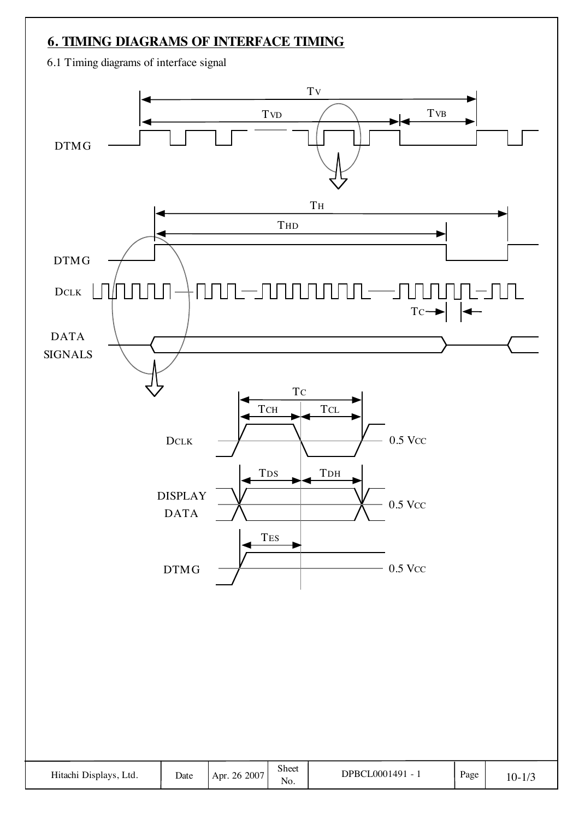### **6. TIMING DIAGRAMS OF INTERFACE TIMING**

6.1 Timing diagrams of interface signal

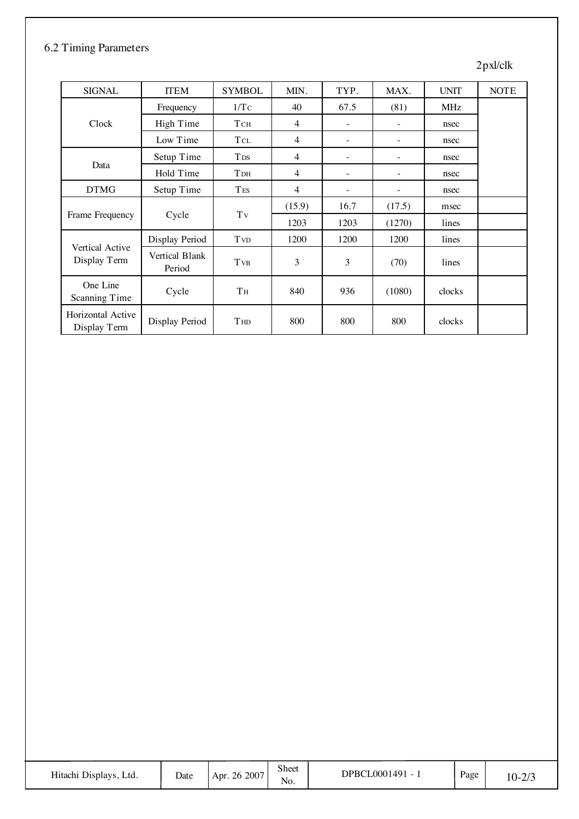#### 6.2 Timing Parameters

#### 2pxl/clk

| <b>SIGNAL</b>                          | <b>ITEM</b>              | <b>SYMBOL</b>          | MIN.           | TYP. | MAX.                     | <b>UNIT</b> | <b>NOTE</b> |
|----------------------------------------|--------------------------|------------------------|----------------|------|--------------------------|-------------|-------------|
|                                        | Frequency                | 1/Tc                   | 40             | 67.5 | (81)                     | <b>MHz</b>  |             |
| Clock                                  | High Time                | TCH                    | 4              |      |                          | nsec        |             |
|                                        | Low Time                 | <b>T</b> CL            | 4              | Ξ.   |                          | nsec        |             |
| Data                                   | Setup Time               | <b>T</b> <sub>DS</sub> | 4              |      |                          | nsec        |             |
|                                        | Hold Time                | <b>T</b> <sub>DH</sub> | $\overline{4}$ |      |                          | nsec        |             |
| <b>DTMG</b>                            | Setup Time               | <b>TES</b>             | $\overline{4}$ | -    | $\overline{\phantom{0}}$ | nsec        |             |
|                                        |                          |                        | (15.9)         | 16.7 | (17.5)                   | msec        |             |
| Frame Frequency                        | Cycle                    | Tv                     | 1203           | 1203 | (1270)                   | lines       |             |
|                                        | Display Period           | <b>T</b> <sub>VD</sub> | 1200           | 1200 | 1200                     | lines       |             |
| <b>Vertical Active</b><br>Display Term | Vertical Blank<br>Period | <b>T</b> <sub>VB</sub> | 3              | 3    | (70)                     | lines       |             |
| One Line<br>Scanning Time              | Cycle                    | Tн                     | 840            | 936  | (1080)                   | clocks      |             |
| Horizontal Active<br>Display Term      | Display Period           | <b>THD</b>             | 800            | 800  | 800                      | clocks      |             |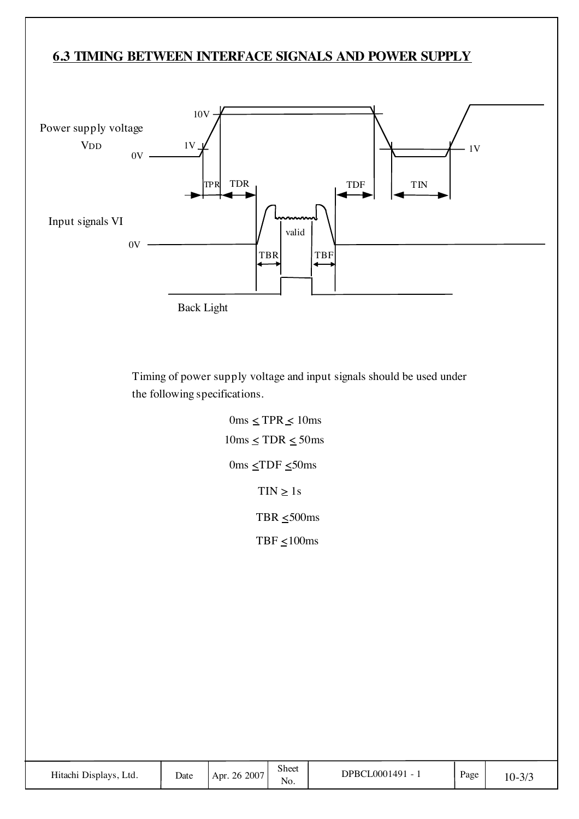### **6.3 TIMING BETWEEN INTERFACE SIGNALS AND POWER SUPPLY**



Timing of power supply voltage and input signals should be used under the following specifications.

> $0 \text{ms} \leq \text{TPR} \leq 10 \text{ms}$  $10\text{ms} \leq \text{TDR} \leq 50\text{ms}$  $0 \text{ms } \leq \text{TDF } \leq 50 \text{ms}$  $\text{TIN} \geq 1s$ TBR  $\leq 500$ ms TBF  $\leq 100$ ms

| Hitachi Displays, Ltd. | Date | Apr. 26 2007 | <b>Sheet</b><br>No. | DPBCL0001491 - | Page | $10 - 3/3$ |
|------------------------|------|--------------|---------------------|----------------|------|------------|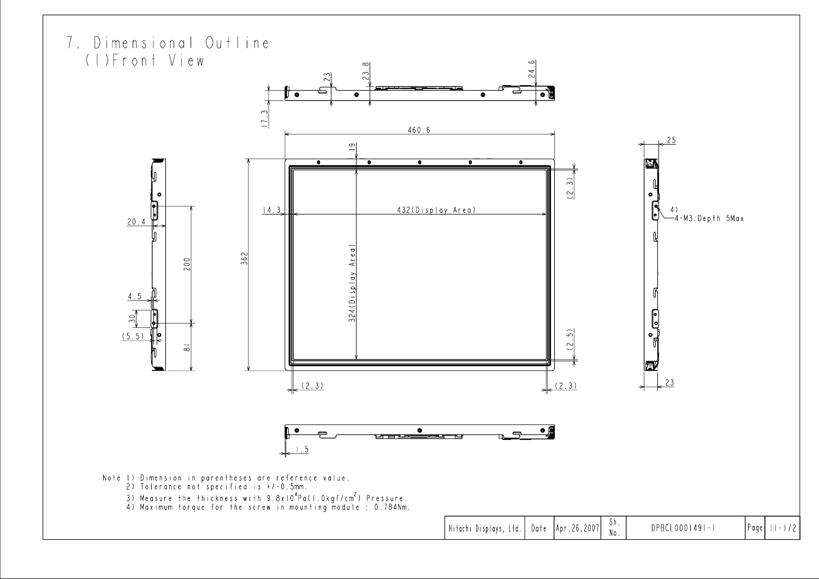